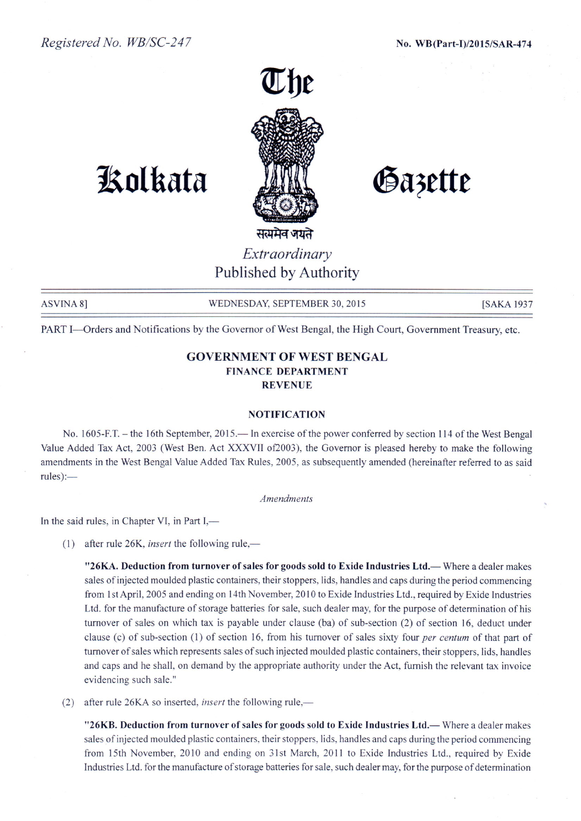

# **1!olkata**

Gazette

*Extraordinary* Published by Authority

ASVINA 8] WEDNESDAY, SEPTEMBER 30, 2015 [SAKA 1937]

PART I-Orders and Notifications by the Governor of West Bengal, the High Court, Government Treasury, etc.

# GOVERNMENT **OF** WEST BENGAL FINANCE DEPARTMENT REVENUE

## NOTIFICATION

No. 1605-F.T. – the 16th September, 2015.— In exercise of the power conferred by section 114 of the West Bengal Value Added Tax Act, 2003 (West Ben. Act XXXVII of2003), the Governor is pleased hereby to make the following amendments in the West Bengal Value Added Tax Rules, 2005, as subsequently amended (hereinafter referred to as said rules):-

### *Amendments*

In the said rules, in Chapter VI, in Part I,-

(1) after rule  $26K$ , *insert* the following rule,—

"26KA. Deduction from turnover of sales for goods sold to Exide Industries Ltd.— Where a dealer makes sales of injected moulded plastic containers, their stoppers, lids, handles and caps during the period commencing from Ist April, 2005 and ending on 14th November, 20 I0 to Exide Industries Ltd., required by Exide Industries Ltd. for the manufacture of storage batteries for sale, such dealer may, for the purpose of determination of his turnover of sales on which tax is payable under clause (ba) of sub-section (2) of section 16, deduct under clause (c) of sub-section (1) of section 16, from his turnover of sales sixty four *per centum* of that part of turnover of sales which represents sales of such injected moulded plastic containers, their stoppers, lids, handles and caps and he shall, on demand by the appropriate authority under the Act, furnish the relevant tax invoice evidencing such sale."

(2) after rule 26KA so inserted, *insert* the following rule,—

"26KB. Deduction from turnover of sales for goods sold to Exide Industries Ltd.— Where a dealer makes sales of injected moulded plastic containers, their stoppers, lids, handles and caps during the period commencing from 15th November, 2010 and ending on 31st March, 2011 to Exide Industries Ltd., required by Exide Industries Ltd. for the manufacture of storage batteries for sale, such dealer may, for the purpose of determination